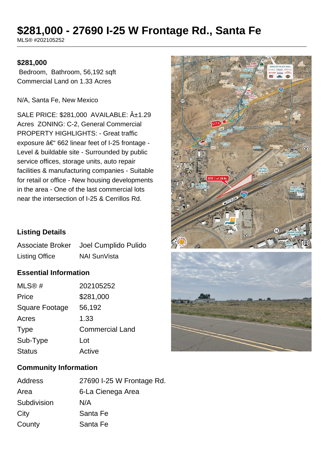# **\$281,000 - 27690 I-25 W Frontage Rd., Santa Fe**

MLS® #202105252

#### **\$281,000**

 Bedroom, Bathroom, 56,192 sqft Commercial Land on 1.33 Acres

N/A, Santa Fe, New Mexico

SALE PRICE: \$281,000 AVAILABLE:  $\hat{A}_{\pm}$ 1.29 Acres ZONING: C-2, General Commercial PROPERTY HIGHLIGHTS: - Great traffic exposure  $a \in 662$  linear feet of I-25 frontage -Level & buildable site - Surrounded by public service offices, storage units, auto repair facilities & manufacturing companies - Suitable for retail or office - New housing developments in the area - One of the last commercial lots near the intersection of I-25 & Cerrillos Rd.





## **Listing Details**

|                       | Associate Broker Joel Cumplido Pulido |
|-----------------------|---------------------------------------|
| <b>Listing Office</b> | <b>NAI SunVista</b>                   |

## **Essential Information**

| MLS@#          | 202105252              |
|----------------|------------------------|
| Price          | \$281,000              |
| Square Footage | 56,192                 |
| Acres          | 1.33                   |
| <b>Type</b>    | <b>Commercial Land</b> |
| Sub-Type       | Lot                    |
| <b>Status</b>  | Active                 |

### **Community Information**

| Address     | 27690 I-25 W Frontage Rd. |
|-------------|---------------------------|
| Area        | 6-La Cienega Area         |
| Subdivision | N/A                       |
| City        | Santa Fe                  |
| County      | Santa Fe                  |